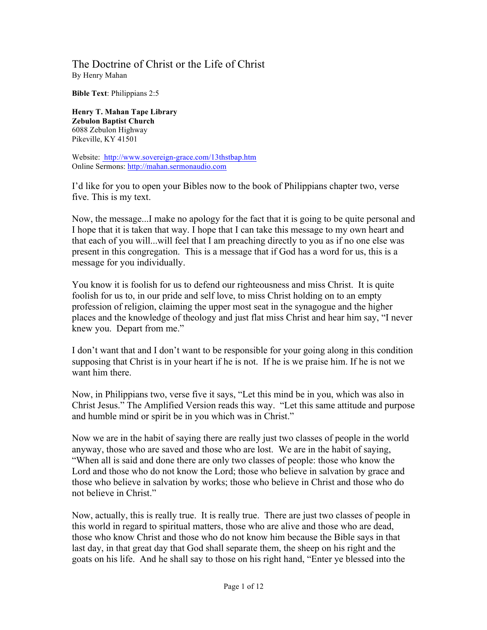## The Doctrine of Christ or the Life of Christ By Henry Mahan

**Bible Text**: Philippians 2:5

**Henry T. Mahan Tape Library Zebulon Baptist Church** 6088 Zebulon Highway Pikeville, KY 41501

Website: http://www.sovereign-grace.com/13thstbap.htm Online Sermons: http://mahan.sermonaudio.com

I'd like for you to open your Bibles now to the book of Philippians chapter two, verse five. This is my text.

Now, the message...I make no apology for the fact that it is going to be quite personal and I hope that it is taken that way. I hope that I can take this message to my own heart and that each of you will...will feel that I am preaching directly to you as if no one else was present in this congregation. This is a message that if God has a word for us, this is a message for you individually.

You know it is foolish for us to defend our righteousness and miss Christ. It is quite foolish for us to, in our pride and self love, to miss Christ holding on to an empty profession of religion, claiming the upper most seat in the synagogue and the higher places and the knowledge of theology and just flat miss Christ and hear him say, "I never knew you. Depart from me."

I don't want that and I don't want to be responsible for your going along in this condition supposing that Christ is in your heart if he is not. If he is we praise him. If he is not we want him there.

Now, in Philippians two, verse five it says, "Let this mind be in you, which was also in Christ Jesus." The Amplified Version reads this way. "Let this same attitude and purpose and humble mind or spirit be in you which was in Christ."

Now we are in the habit of saying there are really just two classes of people in the world anyway, those who are saved and those who are lost. We are in the habit of saying, "When all is said and done there are only two classes of people: those who know the Lord and those who do not know the Lord; those who believe in salvation by grace and those who believe in salvation by works; those who believe in Christ and those who do not believe in Christ."

Now, actually, this is really true. It is really true. There are just two classes of people in this world in regard to spiritual matters, those who are alive and those who are dead, those who know Christ and those who do not know him because the Bible says in that last day, in that great day that God shall separate them, the sheep on his right and the goats on his life. And he shall say to those on his right hand, "Enter ye blessed into the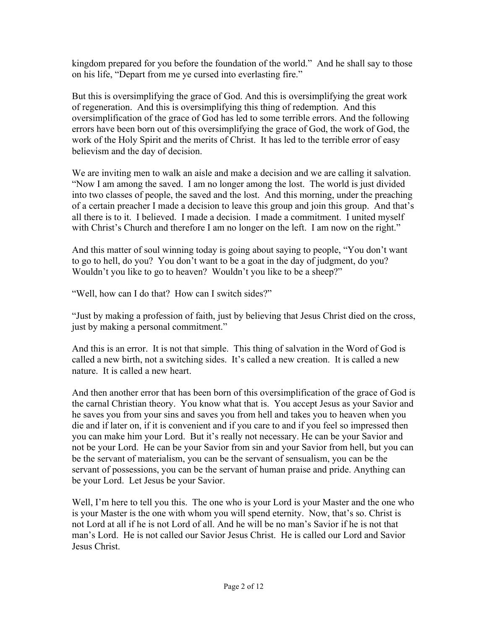kingdom prepared for you before the foundation of the world." And he shall say to those on his life, "Depart from me ye cursed into everlasting fire."

But this is oversimplifying the grace of God. And this is oversimplifying the great work of regeneration. And this is oversimplifying this thing of redemption. And this oversimplification of the grace of God has led to some terrible errors. And the following errors have been born out of this oversimplifying the grace of God, the work of God, the work of the Holy Spirit and the merits of Christ. It has led to the terrible error of easy believism and the day of decision.

We are inviting men to walk an aisle and make a decision and we are calling it salvation. "Now I am among the saved. I am no longer among the lost. The world is just divided into two classes of people, the saved and the lost. And this morning, under the preaching of a certain preacher I made a decision to leave this group and join this group. And that's all there is to it. I believed. I made a decision. I made a commitment. I united myself with Christ's Church and therefore I am no longer on the left. I am now on the right."

And this matter of soul winning today is going about saying to people, "You don't want to go to hell, do you? You don't want to be a goat in the day of judgment, do you? Wouldn't you like to go to heaven? Wouldn't you like to be a sheep?"

"Well, how can I do that? How can I switch sides?"

"Just by making a profession of faith, just by believing that Jesus Christ died on the cross, just by making a personal commitment."

And this is an error. It is not that simple. This thing of salvation in the Word of God is called a new birth, not a switching sides. It's called a new creation. It is called a new nature. It is called a new heart.

And then another error that has been born of this oversimplification of the grace of God is the carnal Christian theory. You know what that is. You accept Jesus as your Savior and he saves you from your sins and saves you from hell and takes you to heaven when you die and if later on, if it is convenient and if you care to and if you feel so impressed then you can make him your Lord. But it's really not necessary. He can be your Savior and not be your Lord. He can be your Savior from sin and your Savior from hell, but you can be the servant of materialism, you can be the servant of sensualism, you can be the servant of possessions, you can be the servant of human praise and pride. Anything can be your Lord. Let Jesus be your Savior.

Well, I'm here to tell you this. The one who is your Lord is your Master and the one who is your Master is the one with whom you will spend eternity. Now, that's so. Christ is not Lord at all if he is not Lord of all. And he will be no man's Savior if he is not that man's Lord. He is not called our Savior Jesus Christ. He is called our Lord and Savior Jesus Christ.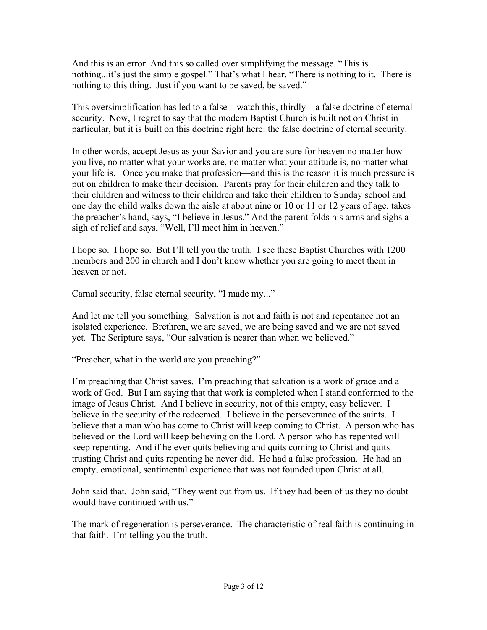And this is an error. And this so called over simplifying the message. "This is nothing...it's just the simple gospel." That's what I hear. "There is nothing to it. There is nothing to this thing. Just if you want to be saved, be saved."

This oversimplification has led to a false—watch this, thirdly—a false doctrine of eternal security. Now, I regret to say that the modern Baptist Church is built not on Christ in particular, but it is built on this doctrine right here: the false doctrine of eternal security.

In other words, accept Jesus as your Savior and you are sure for heaven no matter how you live, no matter what your works are, no matter what your attitude is, no matter what your life is. Once you make that profession—and this is the reason it is much pressure is put on children to make their decision. Parents pray for their children and they talk to their children and witness to their children and take their children to Sunday school and one day the child walks down the aisle at about nine or 10 or 11 or 12 years of age, takes the preacher's hand, says, "I believe in Jesus." And the parent folds his arms and sighs a sigh of relief and says, "Well, I'll meet him in heaven."

I hope so. I hope so. But I'll tell you the truth. I see these Baptist Churches with 1200 members and 200 in church and I don't know whether you are going to meet them in heaven or not.

Carnal security, false eternal security, "I made my..."

And let me tell you something. Salvation is not and faith is not and repentance not an isolated experience. Brethren, we are saved, we are being saved and we are not saved yet. The Scripture says, "Our salvation is nearer than when we believed."

"Preacher, what in the world are you preaching?"

I'm preaching that Christ saves. I'm preaching that salvation is a work of grace and a work of God. But I am saying that that work is completed when I stand conformed to the image of Jesus Christ. And I believe in security, not of this empty, easy believer. I believe in the security of the redeemed. I believe in the perseverance of the saints. I believe that a man who has come to Christ will keep coming to Christ. A person who has believed on the Lord will keep believing on the Lord. A person who has repented will keep repenting. And if he ever quits believing and quits coming to Christ and quits trusting Christ and quits repenting he never did. He had a false profession. He had an empty, emotional, sentimental experience that was not founded upon Christ at all.

John said that. John said, "They went out from us. If they had been of us they no doubt would have continued with us."

The mark of regeneration is perseverance. The characteristic of real faith is continuing in that faith. I'm telling you the truth.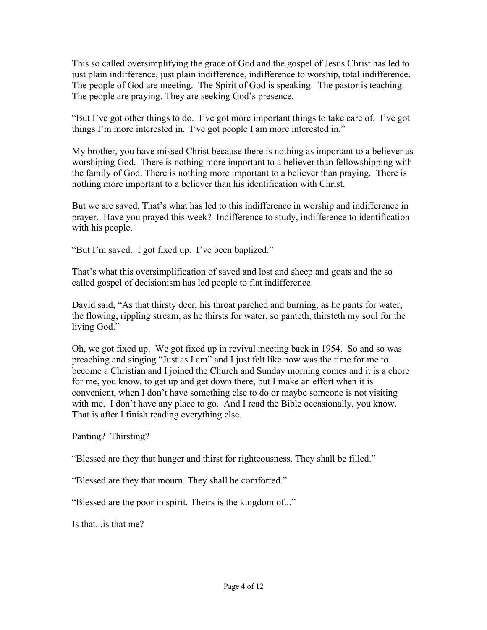This so called oversimplifying the grace of God and the gospel of Jesus Christ has led to just plain indifference, just plain indifference, indifference to worship, total indifference. The people of God are meeting. The Spirit of God is speaking. The pastor is teaching. The people are praying. They are seeking God's presence.

"But I've got other things to do. I've got more important things to take care of. I've got things I'm more interested in. I've got people I am more interested in."

My brother, you have missed Christ because there is nothing as important to a believer as worshiping God. There is nothing more important to a believer than fellowshipping with the family of God. There is nothing more important to a believer than praying. There is nothing more important to a believer than his identification with Christ.

But we are saved. That's what has led to this indifference in worship and indifference in prayer. Have you prayed this week? Indifference to study, indifference to identification with his people.

"But I'm saved. I got fixed up. I've been baptized."

That's what this oversimplification of saved and lost and sheep and goats and the so called gospel of decisionism has led people to flat indifference.

David said, "As that thirsty deer, his throat parched and burning, as he pants for water, the flowing, rippling stream, as he thirsts for water, so panteth, thirsteth my soul for the living God."

Oh, we got fixed up. We got fixed up in revival meeting back in 1954. So and so was preaching and singing "Just as I am" and I just felt like now was the time for me to become a Christian and I joined the Church and Sunday morning comes and it is a chore for me, you know, to get up and get down there, but I make an effort when it is convenient, when I don't have something else to do or maybe someone is not visiting with me. I don't have any place to go. And I read the Bible occasionally, you know. That is after I finish reading everything else.

Panting? Thirsting?

"Blessed are they that hunger and thirst for righteousness. They shall be filled."

"Blessed are they that mourn. They shall be comforted."

"Blessed are the poor in spirit. Theirs is the kingdom of..."

Is that...is that me?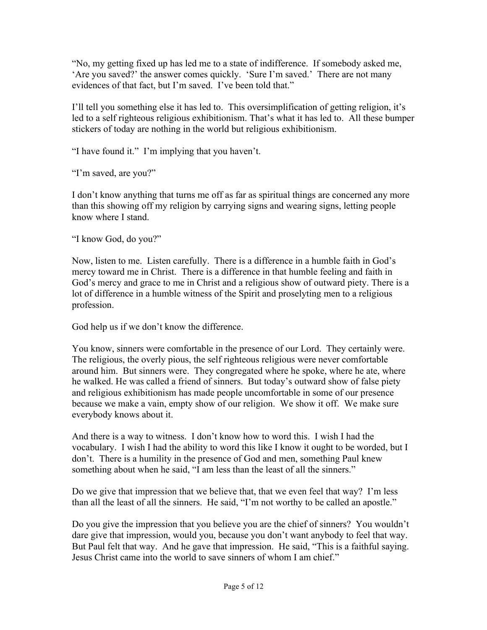"No, my getting fixed up has led me to a state of indifference. If somebody asked me, 'Are you saved?' the answer comes quickly. 'Sure I'm saved.' There are not many evidences of that fact, but I'm saved. I've been told that."

I'll tell you something else it has led to. This oversimplification of getting religion, it's led to a self righteous religious exhibitionism. That's what it has led to. All these bumper stickers of today are nothing in the world but religious exhibitionism.

"I have found it." I'm implying that you haven't.

"I'm saved, are you?"

I don't know anything that turns me off as far as spiritual things are concerned any more than this showing off my religion by carrying signs and wearing signs, letting people know where I stand.

"I know God, do you?"

Now, listen to me. Listen carefully. There is a difference in a humble faith in God's mercy toward me in Christ. There is a difference in that humble feeling and faith in God's mercy and grace to me in Christ and a religious show of outward piety. There is a lot of difference in a humble witness of the Spirit and proselyting men to a religious profession.

God help us if we don't know the difference.

You know, sinners were comfortable in the presence of our Lord. They certainly were. The religious, the overly pious, the self righteous religious were never comfortable around him. But sinners were. They congregated where he spoke, where he ate, where he walked. He was called a friend of sinners. But today's outward show of false piety and religious exhibitionism has made people uncomfortable in some of our presence because we make a vain, empty show of our religion. We show it off. We make sure everybody knows about it.

And there is a way to witness. I don't know how to word this. I wish I had the vocabulary. I wish I had the ability to word this like I know it ought to be worded, but I don't. There is a humility in the presence of God and men, something Paul knew something about when he said, "I am less than the least of all the sinners."

Do we give that impression that we believe that, that we even feel that way? I'm less than all the least of all the sinners. He said, "I'm not worthy to be called an apostle."

Do you give the impression that you believe you are the chief of sinners? You wouldn't dare give that impression, would you, because you don't want anybody to feel that way. But Paul felt that way. And he gave that impression. He said, "This is a faithful saying. Jesus Christ came into the world to save sinners of whom I am chief."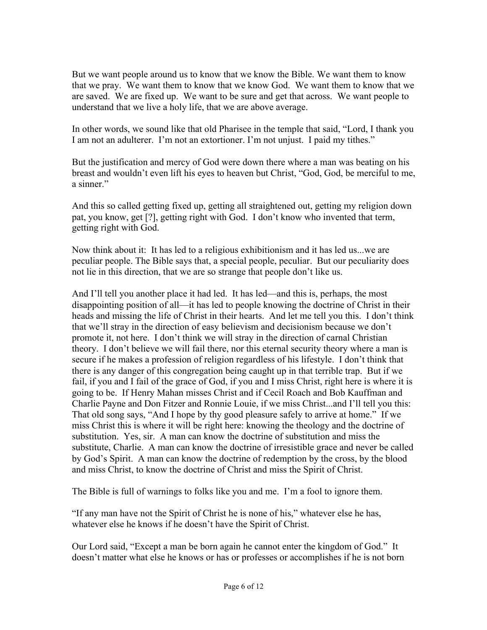But we want people around us to know that we know the Bible. We want them to know that we pray. We want them to know that we know God. We want them to know that we are saved. We are fixed up. We want to be sure and get that across. We want people to understand that we live a holy life, that we are above average.

In other words, we sound like that old Pharisee in the temple that said, "Lord, I thank you I am not an adulterer. I'm not an extortioner. I'm not unjust. I paid my tithes."

But the justification and mercy of God were down there where a man was beating on his breast and wouldn't even lift his eyes to heaven but Christ, "God, God, be merciful to me, a sinner."

And this so called getting fixed up, getting all straightened out, getting my religion down pat, you know, get [?], getting right with God. I don't know who invented that term, getting right with God.

Now think about it: It has led to a religious exhibitionism and it has led us...we are peculiar people. The Bible says that, a special people, peculiar. But our peculiarity does not lie in this direction, that we are so strange that people don't like us.

And I'll tell you another place it had led. It has led—and this is, perhaps, the most disappointing position of all—it has led to people knowing the doctrine of Christ in their heads and missing the life of Christ in their hearts. And let me tell you this. I don't think that we'll stray in the direction of easy believism and decisionism because we don't promote it, not here. I don't think we will stray in the direction of carnal Christian theory. I don't believe we will fail there, nor this eternal security theory where a man is secure if he makes a profession of religion regardless of his lifestyle. I don't think that there is any danger of this congregation being caught up in that terrible trap. But if we fail, if you and I fail of the grace of God, if you and I miss Christ, right here is where it is going to be. If Henry Mahan misses Christ and if Cecil Roach and Bob Kauffman and Charlie Payne and Don Fitzer and Ronnie Louie, if we miss Christ...and I'll tell you this: That old song says, "And I hope by thy good pleasure safely to arrive at home." If we miss Christ this is where it will be right here: knowing the theology and the doctrine of substitution. Yes, sir. A man can know the doctrine of substitution and miss the substitute, Charlie. A man can know the doctrine of irresistible grace and never be called by God's Spirit. A man can know the doctrine of redemption by the cross, by the blood and miss Christ, to know the doctrine of Christ and miss the Spirit of Christ.

The Bible is full of warnings to folks like you and me. I'm a fool to ignore them.

"If any man have not the Spirit of Christ he is none of his," whatever else he has, whatever else he knows if he doesn't have the Spirit of Christ.

Our Lord said, "Except a man be born again he cannot enter the kingdom of God." It doesn't matter what else he knows or has or professes or accomplishes if he is not born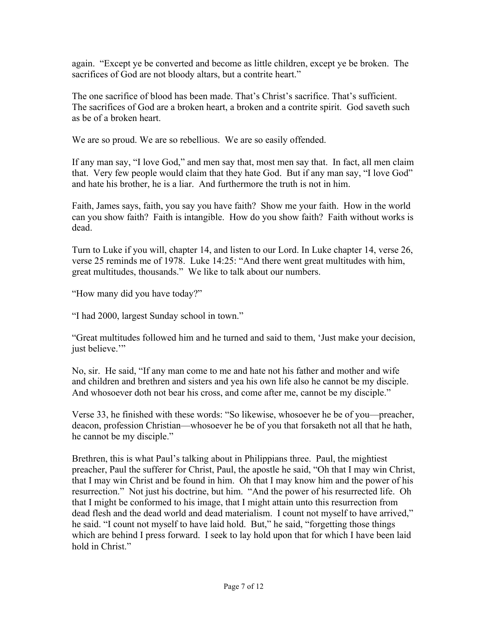again. "Except ye be converted and become as little children, except ye be broken. The sacrifices of God are not bloody altars, but a contrite heart."

The one sacrifice of blood has been made. That's Christ's sacrifice. That's sufficient. The sacrifices of God are a broken heart, a broken and a contrite spirit. God saveth such as be of a broken heart.

We are so proud. We are so rebellious. We are so easily offended.

If any man say, "I love God," and men say that, most men say that. In fact, all men claim that. Very few people would claim that they hate God. But if any man say, "I love God" and hate his brother, he is a liar. And furthermore the truth is not in him.

Faith, James says, faith, you say you have faith? Show me your faith. How in the world can you show faith? Faith is intangible. How do you show faith? Faith without works is dead.

Turn to Luke if you will, chapter 14, and listen to our Lord. In Luke chapter 14, verse 26, verse 25 reminds me of 1978. Luke 14:25: "And there went great multitudes with him, great multitudes, thousands." We like to talk about our numbers.

"How many did you have today?"

"I had 2000, largest Sunday school in town."

"Great multitudes followed him and he turned and said to them, 'Just make your decision, just believe."

No, sir. He said, "If any man come to me and hate not his father and mother and wife and children and brethren and sisters and yea his own life also he cannot be my disciple. And whosoever doth not bear his cross, and come after me, cannot be my disciple."

Verse 33, he finished with these words: "So likewise, whosoever he be of you—preacher, deacon, profession Christian—whosoever he be of you that forsaketh not all that he hath, he cannot be my disciple."

Brethren, this is what Paul's talking about in Philippians three. Paul, the mightiest preacher, Paul the sufferer for Christ, Paul, the apostle he said, "Oh that I may win Christ, that I may win Christ and be found in him. Oh that I may know him and the power of his resurrection." Not just his doctrine, but him. "And the power of his resurrected life. Oh that I might be conformed to his image, that I might attain unto this resurrection from dead flesh and the dead world and dead materialism. I count not myself to have arrived," he said. "I count not myself to have laid hold. But," he said, "forgetting those things which are behind I press forward. I seek to lay hold upon that for which I have been laid hold in Christ."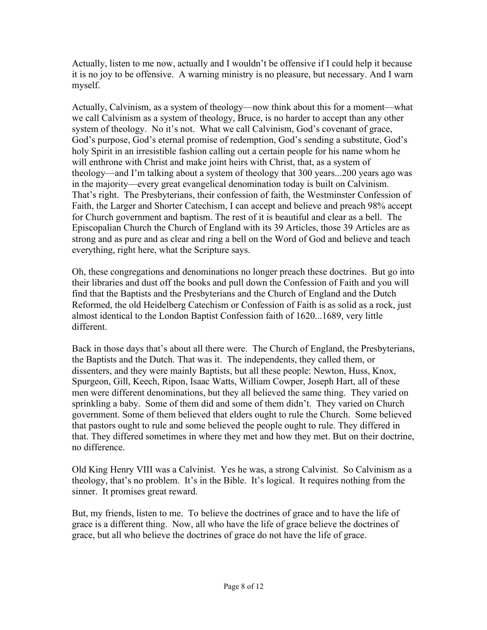Actually, listen to me now, actually and I wouldn't be offensive if I could help it because it is no joy to be offensive. A warning ministry is no pleasure, but necessary. And I warn myself.

Actually, Calvinism, as a system of theology—now think about this for a moment—what we call Calvinism as a system of theology, Bruce, is no harder to accept than any other system of theology. No it's not. What we call Calvinism, God's covenant of grace, God's purpose, God's eternal promise of redemption, God's sending a substitute, God's holy Spirit in an irresistible fashion calling out a certain people for his name whom he will enthrone with Christ and make joint heirs with Christ, that, as a system of theology—and I'm talking about a system of theology that 300 years...200 years ago was in the majority—every great evangelical denomination today is built on Calvinism. That's right. The Presbyterians, their confession of faith, the Westminster Confession of Faith, the Larger and Shorter Catechism, I can accept and believe and preach 98% accept for Church government and baptism. The rest of it is beautiful and clear as a bell. The Episcopalian Church the Church of England with its 39 Articles, those 39 Articles are as strong and as pure and as clear and ring a bell on the Word of God and believe and teach everything, right here, what the Scripture says.

Oh, these congregations and denominations no longer preach these doctrines. But go into their libraries and dust off the books and pull down the Confession of Faith and you will find that the Baptists and the Presbyterians and the Church of England and the Dutch Reformed, the old Heidelberg Catechism or Confession of Faith is as solid as a rock, just almost identical to the London Baptist Confession faith of 1620...1689, very little different.

Back in those days that's about all there were. The Church of England, the Presbyterians, the Baptists and the Dutch. That was it. The independents, they called them, or dissenters, and they were mainly Baptists, but all these people: Newton, Huss, Knox, Spurgeon, Gill, Keech, Ripon, Isaac Watts, William Cowper, Joseph Hart, all of these men were different denominations, but they all believed the same thing. They varied on sprinkling a baby. Some of them did and some of them didn't. They varied on Church government. Some of them believed that elders ought to rule the Church. Some believed that pastors ought to rule and some believed the people ought to rule. They differed in that. They differed sometimes in where they met and how they met. But on their doctrine, no difference.

Old King Henry VIII was a Calvinist. Yes he was, a strong Calvinist. So Calvinism as a theology, that's no problem. It's in the Bible. It's logical. It requires nothing from the sinner. It promises great reward.

But, my friends, listen to me. To believe the doctrines of grace and to have the life of grace is a different thing. Now, all who have the life of grace believe the doctrines of grace, but all who believe the doctrines of grace do not have the life of grace.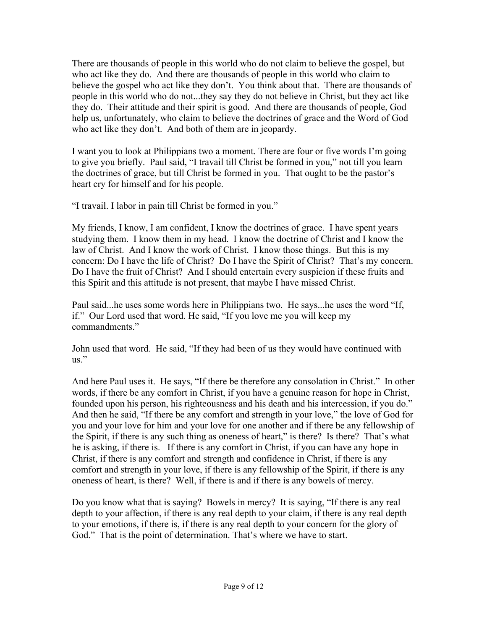There are thousands of people in this world who do not claim to believe the gospel, but who act like they do. And there are thousands of people in this world who claim to believe the gospel who act like they don't. You think about that. There are thousands of people in this world who do not...they say they do not believe in Christ, but they act like they do. Their attitude and their spirit is good. And there are thousands of people, God help us, unfortunately, who claim to believe the doctrines of grace and the Word of God who act like they don't. And both of them are in jeopardy.

I want you to look at Philippians two a moment. There are four or five words I'm going to give you briefly. Paul said, "I travail till Christ be formed in you," not till you learn the doctrines of grace, but till Christ be formed in you. That ought to be the pastor's heart cry for himself and for his people.

"I travail. I labor in pain till Christ be formed in you."

My friends, I know, I am confident, I know the doctrines of grace. I have spent years studying them. I know them in my head. I know the doctrine of Christ and I know the law of Christ. And I know the work of Christ. I know those things. But this is my concern: Do I have the life of Christ? Do I have the Spirit of Christ? That's my concern. Do I have the fruit of Christ? And I should entertain every suspicion if these fruits and this Spirit and this attitude is not present, that maybe I have missed Christ.

Paul said...he uses some words here in Philippians two. He says...he uses the word "If, if." Our Lord used that word. He said, "If you love me you will keep my commandments."

John used that word. He said, "If they had been of us they would have continued with us."

And here Paul uses it. He says, "If there be therefore any consolation in Christ." In other words, if there be any comfort in Christ, if you have a genuine reason for hope in Christ, founded upon his person, his righteousness and his death and his intercession, if you do." And then he said, "If there be any comfort and strength in your love," the love of God for you and your love for him and your love for one another and if there be any fellowship of the Spirit, if there is any such thing as oneness of heart," is there? Is there? That's what he is asking, if there is. If there is any comfort in Christ, if you can have any hope in Christ, if there is any comfort and strength and confidence in Christ, if there is any comfort and strength in your love, if there is any fellowship of the Spirit, if there is any oneness of heart, is there? Well, if there is and if there is any bowels of mercy.

Do you know what that is saying? Bowels in mercy? It is saying, "If there is any real depth to your affection, if there is any real depth to your claim, if there is any real depth to your emotions, if there is, if there is any real depth to your concern for the glory of God." That is the point of determination. That's where we have to start.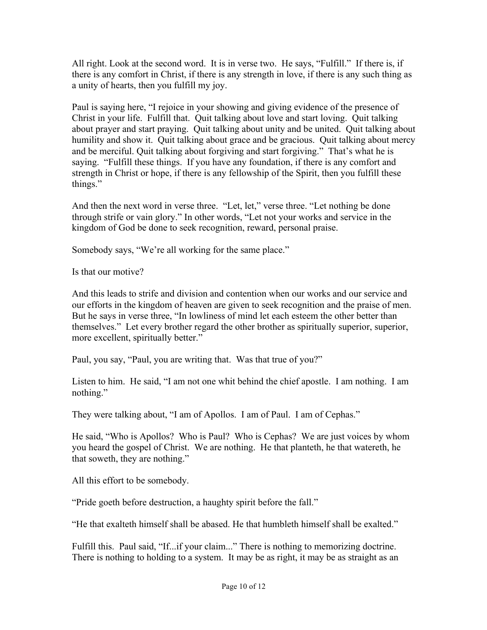All right. Look at the second word. It is in verse two. He says, "Fulfill." If there is, if there is any comfort in Christ, if there is any strength in love, if there is any such thing as a unity of hearts, then you fulfill my joy.

Paul is saying here, "I rejoice in your showing and giving evidence of the presence of Christ in your life. Fulfill that. Quit talking about love and start loving. Quit talking about prayer and start praying. Quit talking about unity and be united. Quit talking about humility and show it. Quit talking about grace and be gracious. Quit talking about mercy and be merciful. Quit talking about forgiving and start forgiving." That's what he is saying. "Fulfill these things. If you have any foundation, if there is any comfort and strength in Christ or hope, if there is any fellowship of the Spirit, then you fulfill these things."

And then the next word in verse three. "Let, let," verse three. "Let nothing be done through strife or vain glory." In other words, "Let not your works and service in the kingdom of God be done to seek recognition, reward, personal praise.

Somebody says, "We're all working for the same place."

Is that our motive?

And this leads to strife and division and contention when our works and our service and our efforts in the kingdom of heaven are given to seek recognition and the praise of men. But he says in verse three, "In lowliness of mind let each esteem the other better than themselves." Let every brother regard the other brother as spiritually superior, superior, more excellent, spiritually better."

Paul, you say, "Paul, you are writing that. Was that true of you?"

Listen to him. He said, "I am not one whit behind the chief apostle. I am nothing. I am nothing."

They were talking about, "I am of Apollos. I am of Paul. I am of Cephas."

He said, "Who is Apollos? Who is Paul? Who is Cephas? We are just voices by whom you heard the gospel of Christ. We are nothing. He that planteth, he that watereth, he that soweth, they are nothing."

All this effort to be somebody.

"Pride goeth before destruction, a haughty spirit before the fall."

"He that exalteth himself shall be abased. He that humbleth himself shall be exalted."

Fulfill this. Paul said, "If...if your claim..." There is nothing to memorizing doctrine. There is nothing to holding to a system. It may be as right, it may be as straight as an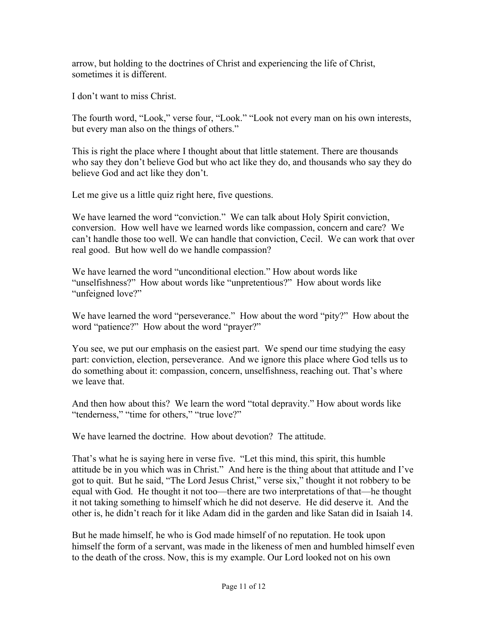arrow, but holding to the doctrines of Christ and experiencing the life of Christ, sometimes it is different.

I don't want to miss Christ.

The fourth word, "Look," verse four, "Look." "Look not every man on his own interests, but every man also on the things of others."

This is right the place where I thought about that little statement. There are thousands who say they don't believe God but who act like they do, and thousands who say they do believe God and act like they don't.

Let me give us a little quiz right here, five questions.

We have learned the word "conviction." We can talk about Holy Spirit conviction, conversion. How well have we learned words like compassion, concern and care? We can't handle those too well. We can handle that conviction, Cecil. We can work that over real good. But how well do we handle compassion?

We have learned the word "unconditional election." How about words like "unselfishness?" How about words like "unpretentious?" How about words like "unfeigned love?"

We have learned the word "perseverance." How about the word "pity?" How about the word "patience?" How about the word "prayer?"

You see, we put our emphasis on the easiest part. We spend our time studying the easy part: conviction, election, perseverance. And we ignore this place where God tells us to do something about it: compassion, concern, unselfishness, reaching out. That's where we leave that.

And then how about this? We learn the word "total depravity." How about words like "tenderness," "time for others," "true love?"

We have learned the doctrine. How about devotion? The attitude.

That's what he is saying here in verse five. "Let this mind, this spirit, this humble attitude be in you which was in Christ." And here is the thing about that attitude and I've got to quit. But he said, "The Lord Jesus Christ," verse six," thought it not robbery to be equal with God. He thought it not too—there are two interpretations of that—he thought it not taking something to himself which he did not deserve. He did deserve it. And the other is, he didn't reach for it like Adam did in the garden and like Satan did in Isaiah 14.

But he made himself, he who is God made himself of no reputation. He took upon himself the form of a servant, was made in the likeness of men and humbled himself even to the death of the cross. Now, this is my example. Our Lord looked not on his own